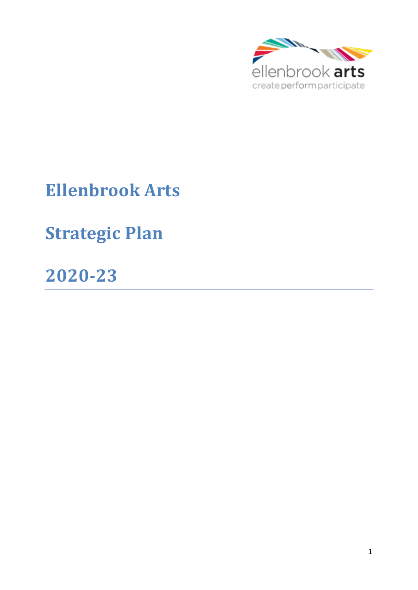

# **Ellenbrook Arts**

# **Strategic Plan**

**2020-23**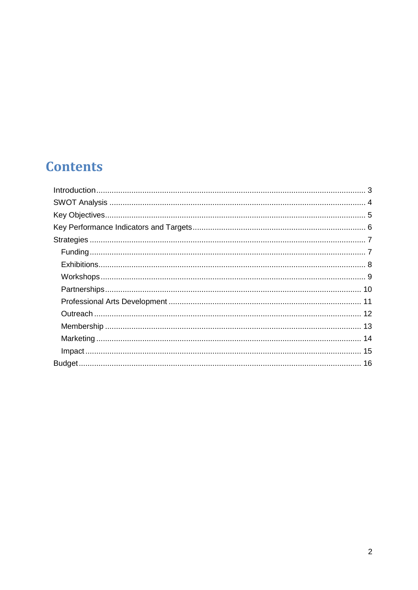### **Contents**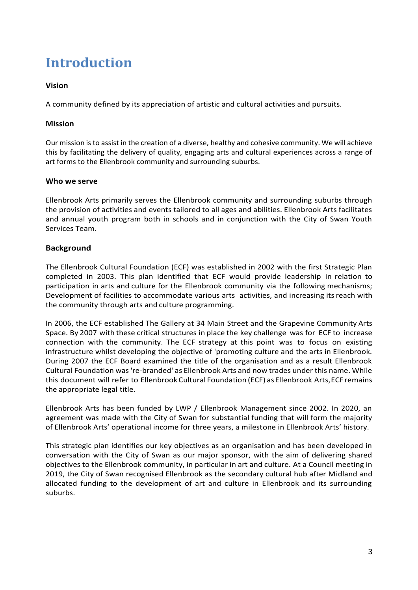### <span id="page-2-0"></span>**Introduction**

#### **Vision**

A community defined by its appreciation of artistic and cultural activities and pursuits.

#### **Mission**

Our mission is to assist in the creation of a diverse, healthy and cohesive community. We will achieve this by facilitating the delivery of quality, engaging arts and cultural experiences across a range of art forms to the Ellenbrook community and surrounding suburbs.

#### **Who we serve**

Ellenbrook Arts primarily serves the Ellenbrook community and surrounding suburbs through the provision of activities and events tailored to all ages and abilities. Ellenbrook Arts facilitates and annual youth program both in schools and in conjunction with the City of Swan Youth Services Team.

#### **Background**

The Ellenbrook Cultural Foundation (ECF) was established in 2002 with the first Strategic Plan completed in 2003. This plan identified that ECF would provide leadership in relation to participation in arts and culture for the Ellenbrook community via the following mechanisms; Development of facilities to accommodate various arts activities, and increasing its reach with the community through arts and culture programming.

In 2006, the ECF established The Gallery at 34 Main Street and the Grapevine Community Arts Space. By 2007 with these critical structures in place the key challenge was for ECF to increase connection with the community. The ECF strategy at this point was to focus on existing infrastructure whilst developing the objective of 'promoting culture and the arts in Ellenbrook. During 2007 the ECF Board examined the title of the organisation and as a result Ellenbrook Cultural Foundation was 're-branded' as Ellenbrook Arts and now trades under this name. While this document will refer to Ellenbrook Cultural Foundation (ECF) as Ellenbrook Arts, ECF remains the appropriate legal title.

Ellenbrook Arts has been funded by LWP / Ellenbrook Management since 2002. In 2020, an agreement was made with the City of Swan for substantial funding that will form the majority of Ellenbrook Arts' operational income for three years, a milestone in Ellenbrook Arts' history.

This strategic plan identifies our key objectives as an organisation and has been developed in conversation with the City of Swan as our major sponsor, with the aim of delivering shared objectives to the Ellenbrook community, in particular in art and culture. At a Council meeting in 2019, the City of Swan recognised Ellenbrook as the secondary cultural hub after Midland and allocated funding to the development of art and culture in Ellenbrook and its surrounding suburbs.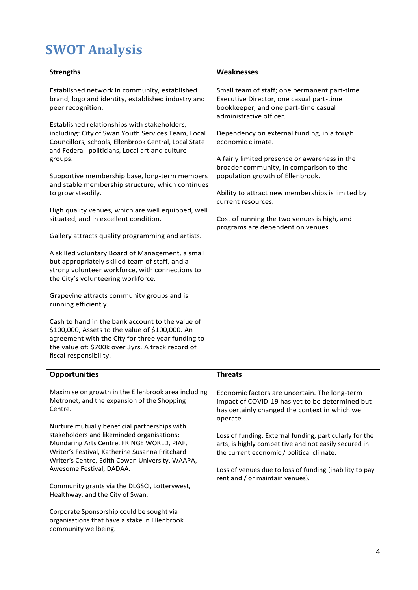# <span id="page-3-0"></span>**SWOT Analysis**

| <b>Strengths</b>                                                                                                                                                                                                                               | Weaknesses                                                                                                                                                    |
|------------------------------------------------------------------------------------------------------------------------------------------------------------------------------------------------------------------------------------------------|---------------------------------------------------------------------------------------------------------------------------------------------------------------|
| Established network in community, established<br>brand, logo and identity, established industry and<br>peer recognition.                                                                                                                       | Small team of staff; one permanent part-time<br>Executive Director, one casual part-time<br>bookkeeper, and one part-time casual<br>administrative officer.   |
| Established relationships with stakeholders,<br>including: City of Swan Youth Services Team, Local<br>Councillors, schools, Ellenbrook Central, Local State<br>and Federal politicians, Local art and culture<br>groups.                       | Dependency on external funding, in a tough<br>economic climate.<br>A fairly limited presence or awareness in the<br>broader community, in comparison to the   |
| Supportive membership base, long-term members<br>and stable membership structure, which continues<br>to grow steadily.                                                                                                                         | population growth of Ellenbrook.<br>Ability to attract new memberships is limited by<br>current resources.                                                    |
| High quality venues, which are well equipped, well<br>situated, and in excellent condition.                                                                                                                                                    | Cost of running the two venues is high, and<br>programs are dependent on venues.                                                                              |
| Gallery attracts quality programming and artists.                                                                                                                                                                                              |                                                                                                                                                               |
| A skilled voluntary Board of Management, a small<br>but appropriately skilled team of staff, and a<br>strong volunteer workforce, with connections to<br>the City's volunteering workforce.                                                    |                                                                                                                                                               |
| Grapevine attracts community groups and is<br>running efficiently.                                                                                                                                                                             |                                                                                                                                                               |
| Cash to hand in the bank account to the value of<br>\$100,000, Assets to the value of \$100,000. An<br>agreement with the City for three year funding to<br>the value of: \$700k over 3yrs. A track record of<br>fiscal responsibility.        |                                                                                                                                                               |
| <b>Opportunities</b>                                                                                                                                                                                                                           | <b>Threats</b>                                                                                                                                                |
| Maximise on growth in the Ellenbrook area including<br>Metronet, and the expansion of the Shopping<br>Centre.                                                                                                                                  | Economic factors are uncertain. The long-term<br>impact of COVID-19 has yet to be determined but<br>has certainly changed the context in which we<br>operate. |
| Nurture mutually beneficial partnerships with<br>stakeholders and likeminded organisations;<br>Mundaring Arts Centre, FRINGE WORLD, PIAF,<br>Writer's Festival, Katherine Susanna Pritchard<br>Writer's Centre, Edith Cowan University, WAAPA, | Loss of funding. External funding, particularly for the<br>arts, is highly competitive and not easily secured in<br>the current economic / political climate. |
| Awesome Festival, DADAA.                                                                                                                                                                                                                       | Loss of venues due to loss of funding (inability to pay<br>rent and / or maintain venues).                                                                    |
| Community grants via the DLGSCI, Lotterywest,<br>Healthway, and the City of Swan.                                                                                                                                                              |                                                                                                                                                               |
| Corporate Sponsorship could be sought via<br>organisations that have a stake in Ellenbrook<br>community wellbeing.                                                                                                                             |                                                                                                                                                               |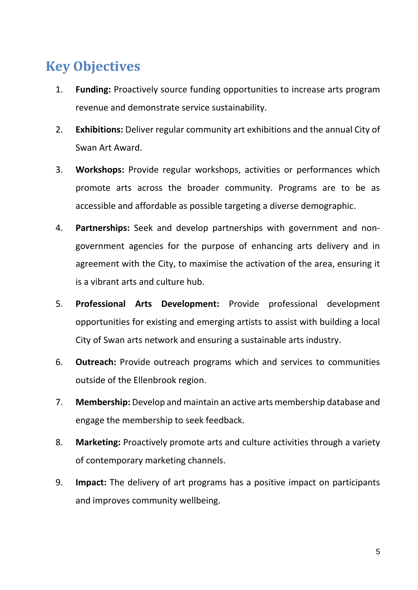### <span id="page-4-0"></span>**Key Objectives**

- 1. **Funding:** Proactively source funding opportunities to increase arts program revenue and demonstrate service sustainability.
- 2. **Exhibitions:** Deliver regular community art exhibitions and the annual City of Swan Art Award.
- 3. **Workshops:** Provide regular workshops, activities or performances which promote arts across the broader community. Programs are to be as accessible and affordable as possible targeting a diverse demographic.
- 4. **Partnerships:** Seek and develop partnerships with government and nongovernment agencies for the purpose of enhancing arts delivery and in agreement with the City, to maximise the activation of the area, ensuring it is a vibrant arts and culture hub.
- 5. **Professional Arts Development:** Provide professional development opportunities for existing and emerging artists to assist with building a local City of Swan arts network and ensuring a sustainable arts industry.
- 6. **Outreach:** Provide outreach programs which and services to communities outside of the Ellenbrook region.
- 7. **Membership:** Develop and maintain an active arts membership database and engage the membership to seek feedback.
- 8. **Marketing:** Proactively promote arts and culture activities through a variety of contemporary marketing channels.
- 9. **Impact:** The delivery of art programs has a positive impact on participants and improves community wellbeing.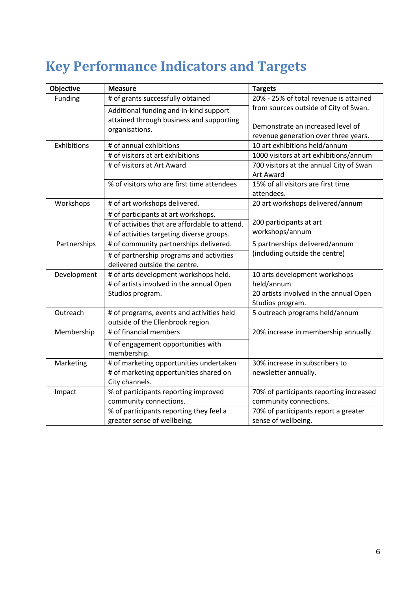## <span id="page-5-0"></span>**Key Performance Indicators and Targets**

| <b>Objective</b> | <b>Measure</b>                                                                     | <b>Targets</b>                                       |
|------------------|------------------------------------------------------------------------------------|------------------------------------------------------|
| Funding          | # of grants successfully obtained                                                  | 20% - 25% of total revenue is attained               |
|                  | Additional funding and in-kind support<br>attained through business and supporting | from sources outside of City of Swan.                |
|                  | organisations.                                                                     | Demonstrate an increased level of                    |
|                  |                                                                                    | revenue generation over three years.                 |
| Exhibitions      | # of annual exhibitions                                                            | 10 art exhibitions held/annum                        |
|                  | # of visitors at art exhibitions                                                   | 1000 visitors at art exhibitions/annum               |
|                  | # of visitors at Art Award                                                         | 700 visitors at the annual City of Swan<br>Art Award |
|                  | % of visitors who are first time attendees                                         | 15% of all visitors are first time                   |
|                  |                                                                                    | attendees.                                           |
| Workshops        | # of art workshops delivered.                                                      | 20 art workshops delivered/annum                     |
|                  | # of participants at art workshops.                                                |                                                      |
|                  | # of activities that are affordable to attend.                                     | 200 participants at art                              |
|                  | # of activities targeting diverse groups.                                          | workshops/annum                                      |
| Partnerships     | # of community partnerships delivered.                                             | 5 partnerships delivered/annum                       |
|                  | # of partnership programs and activities                                           | (including outside the centre)                       |
|                  | delivered outside the centre.                                                      |                                                      |
| Development      | # of arts development workshops held.                                              | 10 arts development workshops                        |
|                  | # of artists involved in the annual Open                                           | held/annum                                           |
|                  | Studios program.                                                                   | 20 artists involved in the annual Open               |
|                  |                                                                                    | Studios program.                                     |
| Outreach         | # of programs, events and activities held<br>outside of the Ellenbrook region.     | 5 outreach programs held/annum                       |
| Membership       | # of financial members                                                             | 20% increase in membership annually.                 |
|                  | # of engagement opportunities with<br>membership.                                  |                                                      |
| Marketing        | # of marketing opportunities undertaken                                            | 30% increase in subscribers to                       |
|                  | # of marketing opportunities shared on                                             | newsletter annually.                                 |
|                  | City channels.                                                                     |                                                      |
| Impact           | % of participants reporting improved                                               | 70% of participants reporting increased              |
|                  | community connections.                                                             | community connections.                               |
|                  | % of participants reporting they feel a                                            | 70% of participants report a greater                 |
|                  | greater sense of wellbeing.                                                        | sense of wellbeing.                                  |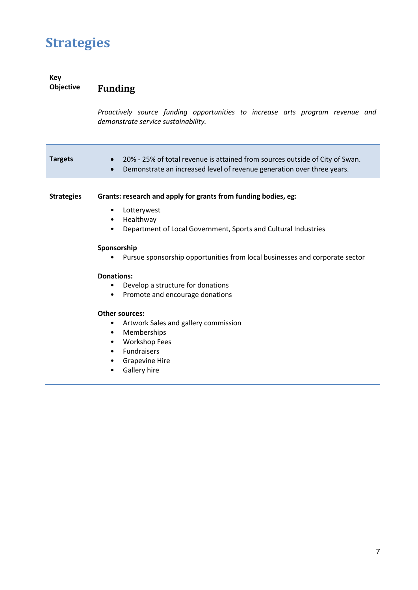### <span id="page-6-0"></span>**Strategies**

#### **Key Funding**

<span id="page-6-1"></span>*Proactively source funding opportunities to increase arts program revenue and demonstrate service sustainability.*

| <b>Targets</b>    | 20% - 25% of total revenue is attained from sources outside of City of Swan.<br>$\bullet$<br>Demonstrate an increased level of revenue generation over three years.<br>$\bullet$            |
|-------------------|---------------------------------------------------------------------------------------------------------------------------------------------------------------------------------------------|
| <b>Strategies</b> | Grants: research and apply for grants from funding bodies, eg:<br>Lotterywest<br>٠<br>Healthway<br>$\bullet$<br>Department of Local Government, Sports and Cultural Industries<br>$\bullet$ |
|                   | Sponsorship<br>Pursue sponsorship opportunities from local businesses and corporate sector<br>Donations:                                                                                    |
|                   | Develop a structure for donations<br>٠<br>Promote and encourage donations<br>٠<br><b>Other sources:</b>                                                                                     |
|                   | Artwork Sales and gallery commission<br>٠<br>Memberships<br>٠<br><b>Workshop Fees</b><br>٠<br>Fundraisers<br>٠<br><b>Grapevine Hire</b><br>Gallery hire                                     |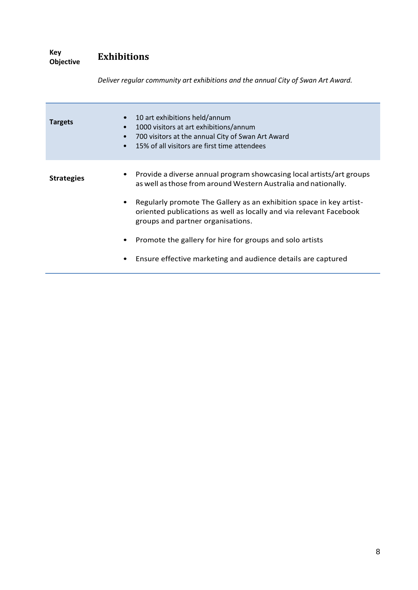**Key Exhibitions** 

| <b>Targets</b>    | 10 art exhibitions held/annum<br>1000 visitors at art exhibitions/annum<br>700 visitors at the annual City of Swan Art Award<br>15% of all visitors are first time attendees   |
|-------------------|--------------------------------------------------------------------------------------------------------------------------------------------------------------------------------|
| <b>Strategies</b> | Provide a diverse annual program showcasing local artists/art groups<br>as well as those from around Western Australia and nationally.                                         |
|                   | Regularly promote The Gallery as an exhibition space in key artist-<br>oriented publications as well as locally and via relevant Facebook<br>groups and partner organisations. |
|                   | Promote the gallery for hire for groups and solo artists                                                                                                                       |
|                   | Ensure effective marketing and audience details are captured                                                                                                                   |

<span id="page-7-0"></span>*Deliver regular community art exhibitions and the annual City of Swan Art Award.*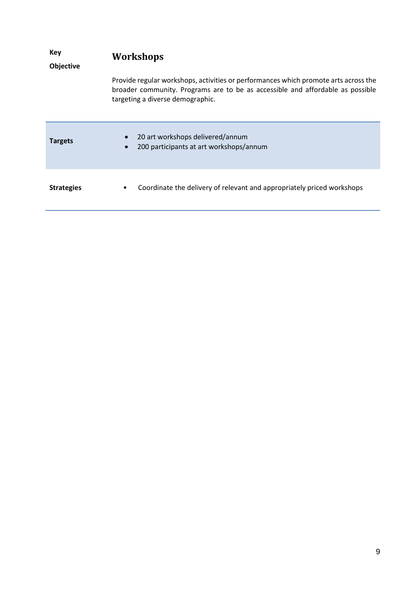<span id="page-8-0"></span>

| Key<br>Objective  | <b>Workshops</b>                                                                                                                                                                                          |
|-------------------|-----------------------------------------------------------------------------------------------------------------------------------------------------------------------------------------------------------|
|                   | Provide regular workshops, activities or performances which promote arts across the<br>broader community. Programs are to be as accessible and affordable as possible<br>targeting a diverse demographic. |
| <b>Targets</b>    | 20 art workshops delivered/annum<br>200 participants at art workshops/annum                                                                                                                               |
| <b>Strategies</b> | Coordinate the delivery of relevant and appropriately priced workshops<br>٠                                                                                                                               |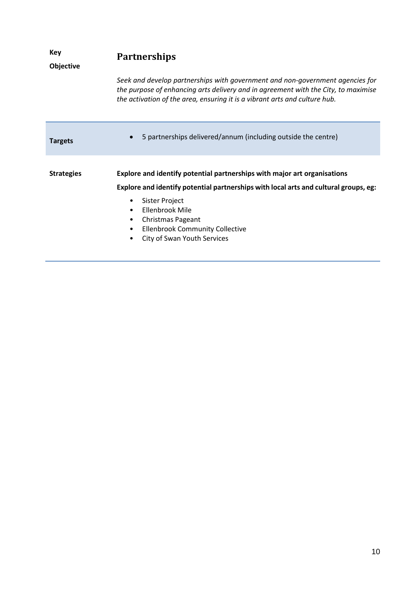<span id="page-9-0"></span>

| Key<br><b>Objective</b> | <b>Partnerships</b>                                                                                                                                                                                                                               |
|-------------------------|---------------------------------------------------------------------------------------------------------------------------------------------------------------------------------------------------------------------------------------------------|
|                         | Seek and develop partnerships with government and non-government agencies for<br>the purpose of enhancing arts delivery and in agreement with the City, to maximise<br>the activation of the area, ensuring it is a vibrant arts and culture hub. |
| <b>Targets</b>          | 5 partnerships delivered/annum (including outside the centre)                                                                                                                                                                                     |
| <b>Strategies</b>       | Explore and identify potential partnerships with major art organisations                                                                                                                                                                          |
|                         | Explore and identify potential partnerships with local arts and cultural groups, eg:                                                                                                                                                              |
|                         | Sister Project<br>٠<br>Ellenbrook Mile<br>$\bullet$                                                                                                                                                                                               |
|                         | Christmas Pageant<br>$\bullet$<br><b>Ellenbrook Community Collective</b><br>٠                                                                                                                                                                     |
|                         | City of Swan Youth Services<br>٠                                                                                                                                                                                                                  |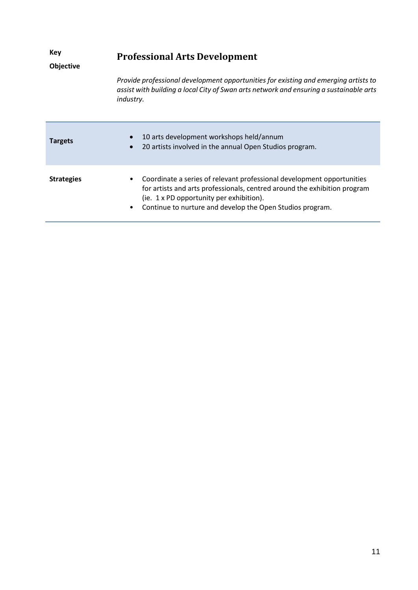<span id="page-10-0"></span>

| Key<br><b>Objective</b> | <b>Professional Arts Development</b>                                                                                                                                                                                                                         |
|-------------------------|--------------------------------------------------------------------------------------------------------------------------------------------------------------------------------------------------------------------------------------------------------------|
|                         | Provide professional development opportunities for existing and emerging artists to<br>assist with building a local City of Swan arts network and ensuring a sustainable arts<br>industry.                                                                   |
| <b>Targets</b>          | 10 arts development workshops held/annum<br>20 artists involved in the annual Open Studios program.                                                                                                                                                          |
| <b>Strategies</b>       | Coordinate a series of relevant professional development opportunities<br>for artists and arts professionals, centred around the exhibition program<br>(ie. 1 x PD opportunity per exhibition).<br>Continue to nurture and develop the Open Studios program. |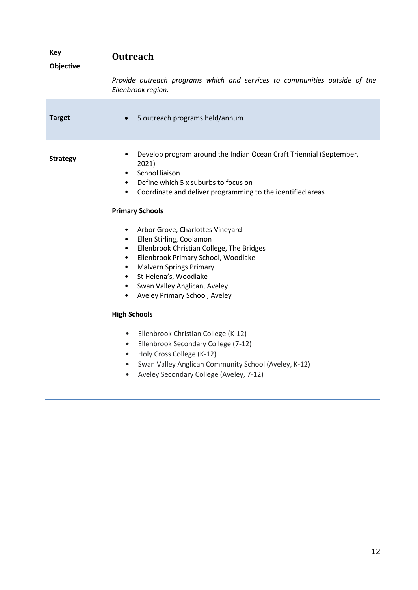<span id="page-11-0"></span>

| <b>Key</b><br>Objective | <b>Outreach</b>                                                                                                                                                                                                                                                                                                                                                              |
|-------------------------|------------------------------------------------------------------------------------------------------------------------------------------------------------------------------------------------------------------------------------------------------------------------------------------------------------------------------------------------------------------------------|
|                         | Provide outreach programs which and services to communities outside of the<br>Ellenbrook region.                                                                                                                                                                                                                                                                             |
| <b>Target</b>           | 5 outreach programs held/annum<br>$\bullet$                                                                                                                                                                                                                                                                                                                                  |
| <b>Strategy</b>         | Develop program around the Indian Ocean Craft Triennial (September,<br>$\bullet$<br>2021)<br>School liaison<br>$\bullet$<br>Define which 5 x suburbs to focus on<br>$\bullet$<br>Coordinate and deliver programming to the identified areas<br>$\bullet$                                                                                                                     |
|                         | <b>Primary Schools</b>                                                                                                                                                                                                                                                                                                                                                       |
|                         | Arbor Grove, Charlottes Vineyard<br>$\bullet$<br>Ellen Stirling, Coolamon<br>$\bullet$<br>Ellenbrook Christian College, The Bridges<br>$\bullet$<br>Ellenbrook Primary School, Woodlake<br>$\bullet$<br><b>Malvern Springs Primary</b><br>$\bullet$<br>St Helena's, Woodlake<br>$\bullet$<br>Swan Valley Anglican, Aveley<br>$\bullet$<br>Aveley Primary School, Aveley<br>٠ |
|                         | <b>High Schools</b>                                                                                                                                                                                                                                                                                                                                                          |
|                         | Ellenbrook Christian College (K-12)<br>$\bullet$<br>Ellenbrook Secondary College (7-12)<br>$\bullet$<br>Holy Cross College (K-12)<br>$\bullet$<br>Swan Valley Anglican Community School (Aveley, K-12)<br>$\bullet$<br>Aveley Secondary College (Aveley, 7-12)<br>$\bullet$                                                                                                  |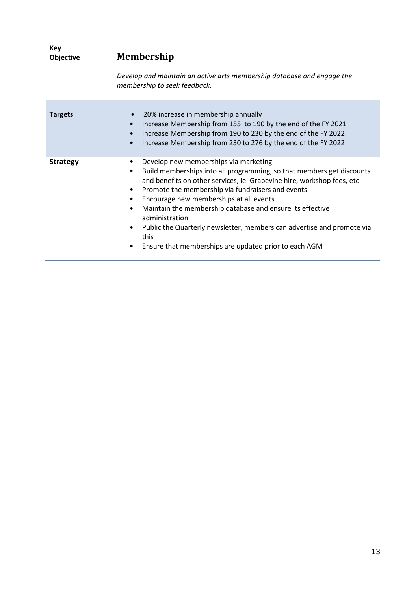<span id="page-12-0"></span>

| Key<br>Objective<br><b>Targets</b> | <b>Membership</b>                                                                                                                                                                                                                                                                          |  |  |
|------------------------------------|--------------------------------------------------------------------------------------------------------------------------------------------------------------------------------------------------------------------------------------------------------------------------------------------|--|--|
|                                    | Develop and maintain an active arts membership database and engage the<br>membership to seek feedback.                                                                                                                                                                                     |  |  |
|                                    | 20% increase in membership annually<br>$\bullet$<br>Increase Membership from 155 to 190 by the end of the FY 2021<br>$\bullet$<br>Increase Membership from 190 to 230 by the end of the FY 2022<br>$\bullet$<br>Increase Membership from 230 to 276 by the end of the FY 2022<br>$\bullet$ |  |  |
| <b>Strategy</b>                    | Develop new memberships via marketing<br>٠<br>Build memberships into all programming, so that members get discon-<br>٠<br>and benefits on other services, ie. Grapevine hire, workshop fees, e                                                                                             |  |  |

- discounts<br>es, etc and benefits on other services, ie. Grapevine hire, workshop fees, etc • Promote the membership via fundraisers and events • Encourage new memberships at all events • Maintain the membership database and ensure its effective
	- administration • Public the Quarterly newsletter, members can advertise and promote via this
	- Ensure that memberships are updated prior to each AGM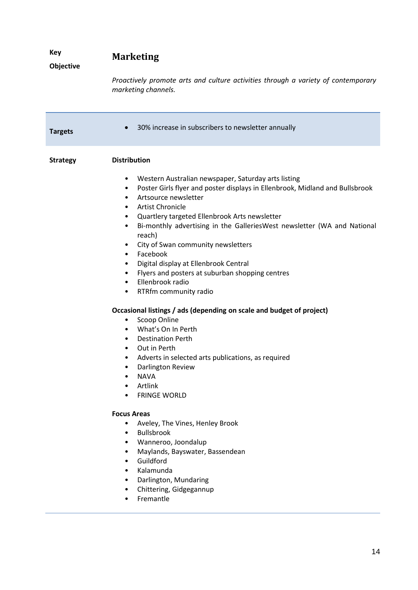<span id="page-13-0"></span>

| Key<br>Objective | <b>Marketing</b>                                                                                                                                                                                                                                                                                                                                                                                                                                                                                                                                                                                                                                                                                                                                                                                                                                                                                                                                                                                                                |  |
|------------------|---------------------------------------------------------------------------------------------------------------------------------------------------------------------------------------------------------------------------------------------------------------------------------------------------------------------------------------------------------------------------------------------------------------------------------------------------------------------------------------------------------------------------------------------------------------------------------------------------------------------------------------------------------------------------------------------------------------------------------------------------------------------------------------------------------------------------------------------------------------------------------------------------------------------------------------------------------------------------------------------------------------------------------|--|
|                  | Proactively promote arts and culture activities through a variety of contemporary<br>marketing channels.                                                                                                                                                                                                                                                                                                                                                                                                                                                                                                                                                                                                                                                                                                                                                                                                                                                                                                                        |  |
| <b>Targets</b>   | 30% increase in subscribers to newsletter annually                                                                                                                                                                                                                                                                                                                                                                                                                                                                                                                                                                                                                                                                                                                                                                                                                                                                                                                                                                              |  |
| <b>Strategy</b>  | <b>Distribution</b><br>Western Australian newspaper, Saturday arts listing<br>$\bullet$<br>Poster Girls flyer and poster displays in Ellenbrook, Midland and Bullsbrook<br>$\bullet$<br>Artsource newsletter<br>$\bullet$<br><b>Artist Chronicle</b><br>٠<br>Quartlery targeted Ellenbrook Arts newsletter<br>٠<br>Bi-monthly advertising in the GalleriesWest newsletter (WA and National<br>٠<br>reach)<br>City of Swan community newsletters<br>٠<br>Facebook<br>$\bullet$<br>Digital display at Ellenbrook Central<br>$\bullet$<br>Flyers and posters at suburban shopping centres<br>$\bullet$<br>Ellenbrook radio<br>$\bullet$<br>RTRfm community radio<br>٠<br>Occasional listings / ads (depending on scale and budget of project)<br>Scoop Online<br>٠<br>What's On In Perth<br>$\bullet$<br><b>Destination Perth</b><br>$\bullet$<br>Out in Perth<br>$\bullet$<br>Adverts in selected arts publications, as required<br>٠<br>Darlington Review<br><b>NAVA</b><br>Artlink<br><b>FRINGE WORLD</b><br><b>Focus Areas</b> |  |
|                  | Aveley, The Vines, Henley Brook<br>٠<br>Bullsbrook<br>$\bullet$<br>Wanneroo, Joondalup<br>٠<br>Maylands, Bayswater, Bassendean<br>٠<br>Guildford<br>$\bullet$<br>Kalamunda<br>$\bullet$<br>Darlington, Mundaring<br>Chittering, Gidgegannup<br>Fremantle                                                                                                                                                                                                                                                                                                                                                                                                                                                                                                                                                                                                                                                                                                                                                                        |  |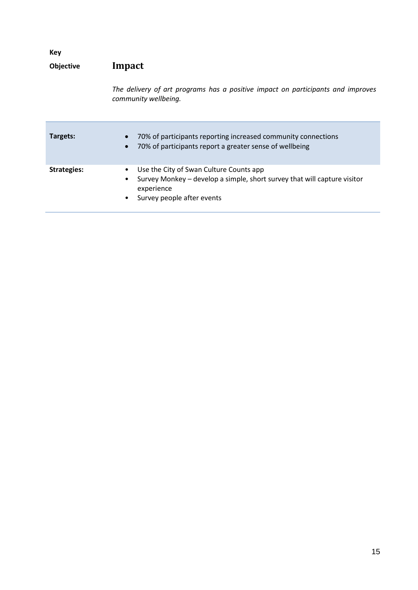<span id="page-14-1"></span><span id="page-14-0"></span>

| Key                |                                                                                                                                                                                        |
|--------------------|----------------------------------------------------------------------------------------------------------------------------------------------------------------------------------------|
| <b>Objective</b>   | Impact                                                                                                                                                                                 |
|                    | The delivery of art programs has a positive impact on participants and improves<br>community wellbeing.                                                                                |
| Targets:           | 70% of participants reporting increased community connections<br>70% of participants report a greater sense of wellbeing                                                               |
| <b>Strategies:</b> | Use the City of Swan Culture Counts app<br>٠<br>Survey Monkey – develop a simple, short survey that will capture visitor<br>٠<br>experience<br>Survey people after events<br>$\bullet$ |
|                    |                                                                                                                                                                                        |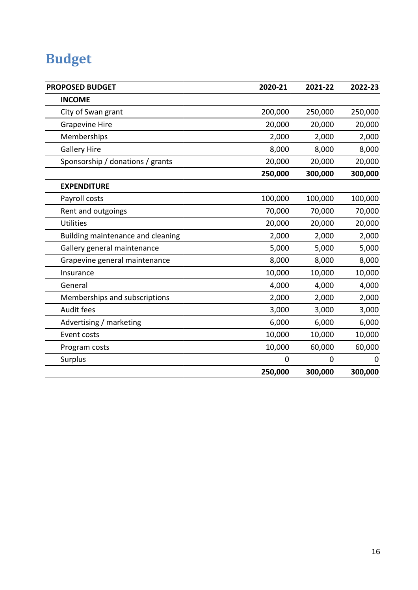## **Budget**

| <b>PROPOSED BUDGET</b>            | 2020-21 | 2021-22 | 2022-23     |
|-----------------------------------|---------|---------|-------------|
| <b>INCOME</b>                     |         |         |             |
| City of Swan grant                | 200,000 | 250,000 | 250,000     |
| <b>Grapevine Hire</b>             | 20,000  | 20,000  | 20,000      |
| Memberships                       | 2,000   | 2,000   | 2,000       |
| <b>Gallery Hire</b>               | 8,000   | 8,000   | 8,000       |
| Sponsorship / donations / grants  | 20,000  | 20,000  | 20,000      |
|                                   | 250,000 | 300,000 | 300,000     |
| <b>EXPENDITURE</b>                |         |         |             |
| Payroll costs                     | 100,000 | 100,000 | 100,000     |
| Rent and outgoings                | 70,000  | 70,000  | 70,000      |
| <b>Utilities</b>                  | 20,000  | 20,000  | 20,000      |
| Building maintenance and cleaning | 2,000   | 2,000   | 2,000       |
| Gallery general maintenance       | 5,000   | 5,000   | 5,000       |
| Grapevine general maintenance     | 8,000   | 8,000   | 8,000       |
| Insurance                         | 10,000  | 10,000  | 10,000      |
| General                           | 4,000   | 4,000   | 4,000       |
| Memberships and subscriptions     | 2,000   | 2,000   | 2,000       |
| Audit fees                        | 3,000   | 3,000   | 3,000       |
| Advertising / marketing           | 6,000   | 6,000   | 6,000       |
| Event costs                       | 10,000  | 10,000  | 10,000      |
| Program costs                     | 10,000  | 60,000  | 60,000      |
| Surplus                           | 0       | 0       | $\mathbf 0$ |
|                                   | 250,000 | 300,000 | 300,000     |